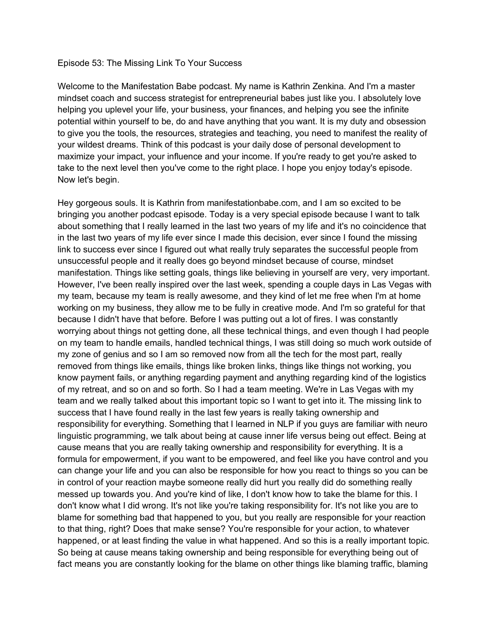## Episode 53: The Missing Link To Your Success

Welcome to the Manifestation Babe podcast. My name is Kathrin Zenkina. And I'm a master mindset coach and success strategist for entrepreneurial babes just like you. I absolutely love helping you uplevel your life, your business, your finances, and helping you see the infinite potential within yourself to be, do and have anything that you want. It is my duty and obsession to give you the tools, the resources, strategies and teaching, you need to manifest the reality of your wildest dreams. Think of this podcast is your daily dose of personal development to maximize your impact, your influence and your income. If you're ready to get you're asked to take to the next level then you've come to the right place. I hope you enjoy today's episode. Now let's begin.

Hey gorgeous souls. It is Kathrin from manifestationbabe.com, and I am so excited to be bringing you another podcast episode. Today is a very special episode because I want to talk about something that I really learned in the last two years of my life and it's no coincidence that in the last two years of my life ever since I made this decision, ever since I found the missing link to success ever since I figured out what really truly separates the successful people from unsuccessful people and it really does go beyond mindset because of course, mindset manifestation. Things like setting goals, things like believing in yourself are very, very important. However, I've been really inspired over the last week, spending a couple days in Las Vegas with my team, because my team is really awesome, and they kind of let me free when I'm at home working on my business, they allow me to be fully in creative mode. And I'm so grateful for that because I didn't have that before. Before I was putting out a lot of fires. I was constantly worrying about things not getting done, all these technical things, and even though I had people on my team to handle emails, handled technical things, I was still doing so much work outside of my zone of genius and so I am so removed now from all the tech for the most part, really removed from things like emails, things like broken links, things like things not working, you know payment fails, or anything regarding payment and anything regarding kind of the logistics of my retreat, and so on and so forth. So I had a team meeting. We're in Las Vegas with my team and we really talked about this important topic so I want to get into it. The missing link to success that I have found really in the last few years is really taking ownership and responsibility for everything. Something that I learned in NLP if you guys are familiar with neuro linguistic programming, we talk about being at cause inner life versus being out effect. Being at cause means that you are really taking ownership and responsibility for everything. It is a formula for empowerment, if you want to be empowered, and feel like you have control and you can change your life and you can also be responsible for how you react to things so you can be in control of your reaction maybe someone really did hurt you really did do something really messed up towards you. And you're kind of like, I don't know how to take the blame for this. I don't know what I did wrong. It's not like you're taking responsibility for. It's not like you are to blame for something bad that happened to you, but you really are responsible for your reaction to that thing, right? Does that make sense? You're responsible for your action, to whatever happened, or at least finding the value in what happened. And so this is a really important topic. So being at cause means taking ownership and being responsible for everything being out of fact means you are constantly looking for the blame on other things like blaming traffic, blaming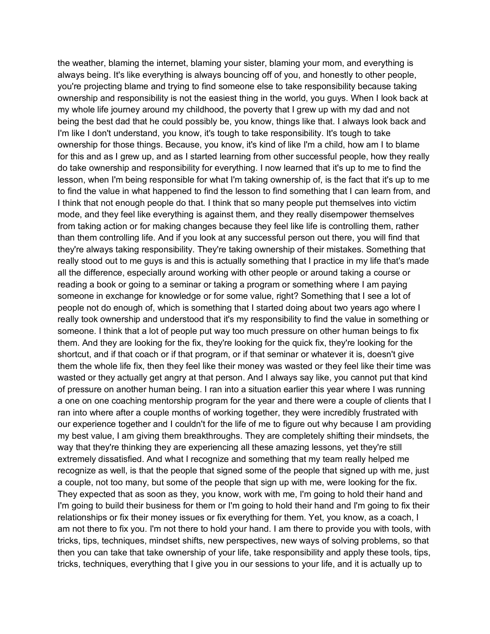the weather, blaming the internet, blaming your sister, blaming your mom, and everything is always being. It's like everything is always bouncing off of you, and honestly to other people, you're projecting blame and trying to find someone else to take responsibility because taking ownership and responsibility is not the easiest thing in the world, you guys. When I look back at my whole life journey around my childhood, the poverty that I grew up with my dad and not being the best dad that he could possibly be, you know, things like that. I always look back and I'm like I don't understand, you know, it's tough to take responsibility. It's tough to take ownership for those things. Because, you know, it's kind of like I'm a child, how am I to blame for this and as I grew up, and as I started learning from other successful people, how they really do take ownership and responsibility for everything. I now learned that it's up to me to find the lesson, when I'm being responsible for what I'm taking ownership of, is the fact that it's up to me to find the value in what happened to find the lesson to find something that I can learn from, and I think that not enough people do that. I think that so many people put themselves into victim mode, and they feel like everything is against them, and they really disempower themselves from taking action or for making changes because they feel like life is controlling them, rather than them controlling life. And if you look at any successful person out there, you will find that they're always taking responsibility. They're taking ownership of their mistakes. Something that really stood out to me guys is and this is actually something that I practice in my life that's made all the difference, especially around working with other people or around taking a course or reading a book or going to a seminar or taking a program or something where I am paying someone in exchange for knowledge or for some value, right? Something that I see a lot of people not do enough of, which is something that I started doing about two years ago where I really took ownership and understood that it's my responsibility to find the value in something or someone. I think that a lot of people put way too much pressure on other human beings to fix them. And they are looking for the fix, they're looking for the quick fix, they're looking for the shortcut, and if that coach or if that program, or if that seminar or whatever it is, doesn't give them the whole life fix, then they feel like their money was wasted or they feel like their time was wasted or they actually get angry at that person. And I always say like, you cannot put that kind of pressure on another human being. I ran into a situation earlier this year where I was running a one on one coaching mentorship program for the year and there were a couple of clients that I ran into where after a couple months of working together, they were incredibly frustrated with our experience together and I couldn't for the life of me to figure out why because I am providing my best value, I am giving them breakthroughs. They are completely shifting their mindsets, the way that they're thinking they are experiencing all these amazing lessons, yet they're still extremely dissatisfied. And what I recognize and something that my team really helped me recognize as well, is that the people that signed some of the people that signed up with me, just a couple, not too many, but some of the people that sign up with me, were looking for the fix. They expected that as soon as they, you know, work with me, I'm going to hold their hand and I'm going to build their business for them or I'm going to hold their hand and I'm going to fix their relationships or fix their money issues or fix everything for them. Yet, you know, as a coach, I am not there to fix you. I'm not there to hold your hand. I am there to provide you with tools, with tricks, tips, techniques, mindset shifts, new perspectives, new ways of solving problems, so that then you can take that take ownership of your life, take responsibility and apply these tools, tips, tricks, techniques, everything that I give you in our sessions to your life, and it is actually up to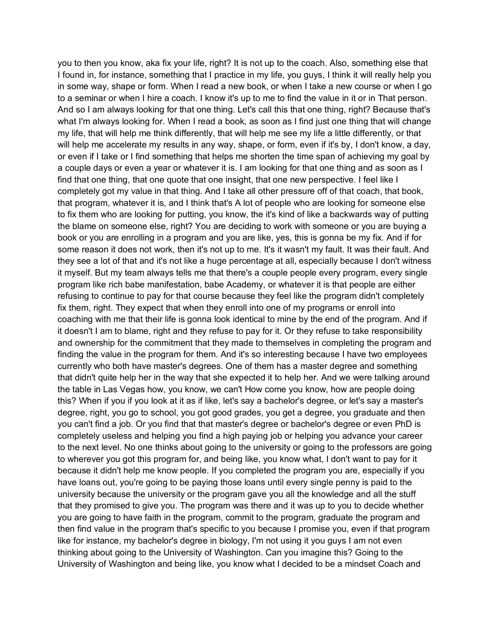you to then you know, aka fix your life, right? It is not up to the coach. Also, something else that I found in, for instance, something that I practice in my life, you guys, I think it will really help you in some way, shape or form. When I read a new book, or when I take a new course or when I go to a seminar or when I hire a coach. I know it's up to me to find the value in it or in That person. And so I am always looking for that one thing. Let's call this that one thing, right? Because that's what I'm always looking for. When I read a book, as soon as I find just one thing that will change my life, that will help me think differently, that will help me see my life a little differently, or that will help me accelerate my results in any way, shape, or form, even if it's by, I don't know, a day, or even if I take or I find something that helps me shorten the time span of achieving my goal by a couple days or even a year or whatever it is. I am looking for that one thing and as soon as I find that one thing, that one quote that one insight, that one new perspective. I feel like I completely got my value in that thing. And I take all other pressure off of that coach, that book, that program, whatever it is, and I think that's A lot of people who are looking for someone else to fix them who are looking for putting, you know, the it's kind of like a backwards way of putting the blame on someone else, right? You are deciding to work with someone or you are buying a book or you are enrolling in a program and you are like, yes, this is gonna be my fix. And if for some reason it does not work, then it's not up to me. It's it wasn't my fault. It was their fault. And they see a lot of that and it's not like a huge percentage at all, especially because I don't witness it myself. But my team always tells me that there's a couple people every program, every single program like rich babe manifestation, babe Academy, or whatever it is that people are either refusing to continue to pay for that course because they feel like the program didn't completely fix them, right. They expect that when they enroll into one of my programs or enroll into coaching with me that their life is gonna look identical to mine by the end of the program. And if it doesn't I am to blame, right and they refuse to pay for it. Or they refuse to take responsibility and ownership for the commitment that they made to themselves in completing the program and finding the value in the program for them. And it's so interesting because I have two employees currently who both have master's degrees. One of them has a master degree and something that didn't quite help her in the way that she expected it to help her. And we were talking around the table in Las Vegas how, you know, we can't How come you know, how are people doing this? When if you if you look at it as if like, let's say a bachelor's degree, or let's say a master's degree, right, you go to school, you got good grades, you get a degree, you graduate and then you can't find a job. Or you find that that master's degree or bachelor's degree or even PhD is completely useless and helping you find a high paying job or helping you advance your career to the next level. No one thinks about going to the university or going to the professors are going to wherever you got this program for, and being like, you know what, I don't want to pay for it because it didn't help me know people. If you completed the program you are, especially if you have loans out, you're going to be paying those loans until every single penny is paid to the university because the university or the program gave you all the knowledge and all the stuff that they promised to give you. The program was there and it was up to you to decide whether you are going to have faith in the program, commit to the program, graduate the program and then find value in the program that's specific to you because I promise you, even if that program like for instance, my bachelor's degree in biology, I'm not using it you guys I am not even thinking about going to the University of Washington. Can you imagine this? Going to the University of Washington and being like, you know what I decided to be a mindset Coach and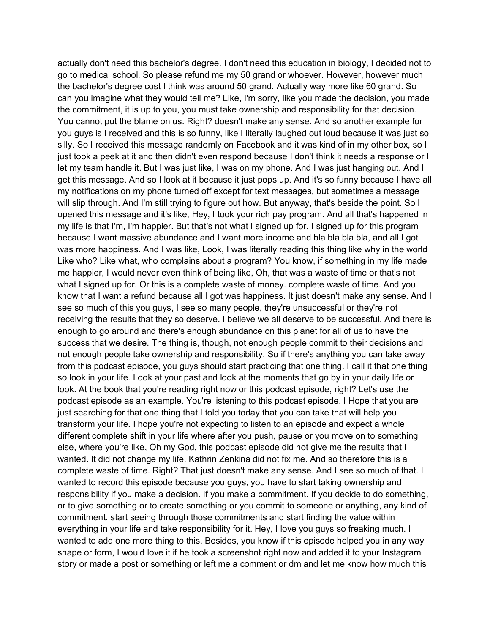actually don't need this bachelor's degree. I don't need this education in biology, I decided not to go to medical school. So please refund me my 50 grand or whoever. However, however much the bachelor's degree cost I think was around 50 grand. Actually way more like 60 grand. So can you imagine what they would tell me? Like, I'm sorry, like you made the decision, you made the commitment, it is up to you, you must take ownership and responsibility for that decision. You cannot put the blame on us. Right? doesn't make any sense. And so another example for you guys is I received and this is so funny, like I literally laughed out loud because it was just so silly. So I received this message randomly on Facebook and it was kind of in my other box, so I just took a peek at it and then didn't even respond because I don't think it needs a response or I let my team handle it. But I was just like, I was on my phone. And I was just hanging out. And I get this message. And so I look at it because it just pops up. And it's so funny because I have all my notifications on my phone turned off except for text messages, but sometimes a message will slip through. And I'm still trying to figure out how. But anyway, that's beside the point. So I opened this message and it's like, Hey, I took your rich pay program. And all that's happened in my life is that I'm, I'm happier. But that's not what I signed up for. I signed up for this program because I want massive abundance and I want more income and bla bla bla bla, and all I got was more happiness. And I was like, Look, I was literally reading this thing like why in the world Like who? Like what, who complains about a program? You know, if something in my life made me happier, I would never even think of being like, Oh, that was a waste of time or that's not what I signed up for. Or this is a complete waste of money. complete waste of time. And you know that I want a refund because all I got was happiness. It just doesn't make any sense. And I see so much of this you guys, I see so many people, they're unsuccessful or they're not receiving the results that they so deserve. I believe we all deserve to be successful. And there is enough to go around and there's enough abundance on this planet for all of us to have the success that we desire. The thing is, though, not enough people commit to their decisions and not enough people take ownership and responsibility. So if there's anything you can take away from this podcast episode, you guys should start practicing that one thing. I call it that one thing so look in your life. Look at your past and look at the moments that go by in your daily life or look. At the book that you're reading right now or this podcast episode, right? Let's use the podcast episode as an example. You're listening to this podcast episode. I Hope that you are just searching for that one thing that I told you today that you can take that will help you transform your life. I hope you're not expecting to listen to an episode and expect a whole different complete shift in your life where after you push, pause or you move on to something else, where you're like, Oh my God, this podcast episode did not give me the results that I wanted. It did not change my life. Kathrin Zenkina did not fix me. And so therefore this is a complete waste of time. Right? That just doesn't make any sense. And I see so much of that. I wanted to record this episode because you guys, you have to start taking ownership and responsibility if you make a decision. If you make a commitment. If you decide to do something, or to give something or to create something or you commit to someone or anything, any kind of commitment. start seeing through those commitments and start finding the value within everything in your life and take responsibility for it. Hey, I love you guys so freaking much. I wanted to add one more thing to this. Besides, you know if this episode helped you in any way shape or form, I would love it if he took a screenshot right now and added it to your Instagram story or made a post or something or left me a comment or dm and let me know how much this